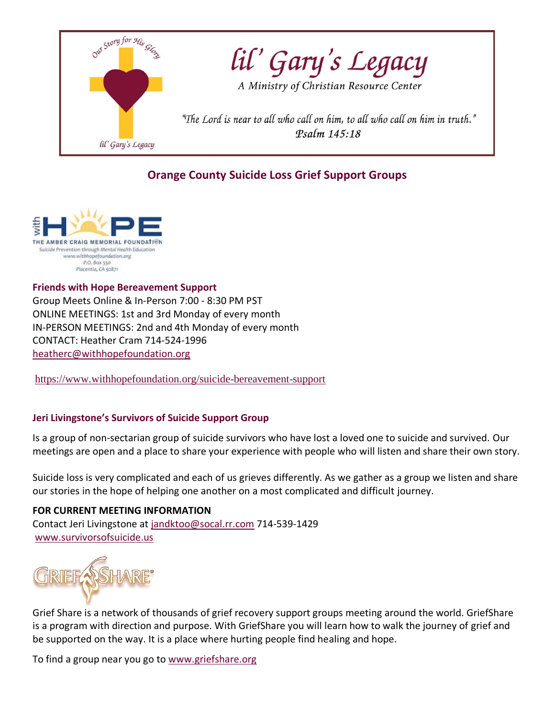

# **Orange County Suicide Loss Grief Support Groups**



**Friends with Hope Bereavement Support**  Group Meets Online & In-Person 7:00 - 8:30 PM PST ONLINE MEETINGS: 1st and 3rd Monday of every month IN-PERSON MEETINGS: 2nd and 4th Monday of every month CONTACT: Heather Cram 714-524-1996 [heatherc@withhopefoundation.org](mailto:heatherc@withhopefoundation.org)

<https://www.withhopefoundation.org/suicide-bereavement-support>

# **Jeri Livingstone's Survivors of Suicide Support Group**

Is a group of non-sectarian group of suicide survivors who have lost a loved one to suicide and survived. Our meetings are open and a place to share your experience with people who will listen and share their own story.

Suicide loss is very complicated and each of us grieves differently. As we gather as a group we listen and share our stories in the hope of helping one another on a most complicated and difficult journey.

# **FOR CURRENT MEETING INFORMATION**

Contact Jeri Livingstone at [jandktoo@socal.rr.com](mailto:jandktoo@socal.rr.com) 714-539-1429 [www.survivorsofsuicide.us](http://www.survivorsofsuicide.us/)



Grief Share is a network of thousands of grief recovery support groups meeting around the world. GriefShare is a program with direction and purpose. With GriefShare you will learn how to walk the journey of grief and be supported on the way. It is a place where hurting people find healing and hope.

To find a group near you go to [www.griefshare.org](http://www.griefshare.org/)